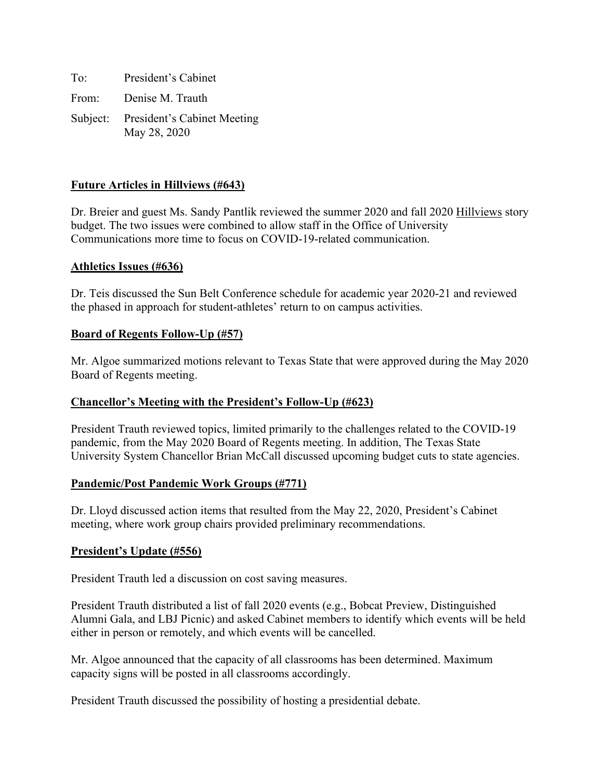To: President's Cabinet From: Denise M. Trauth Subject: President's Cabinet Meeting May 28, 2020

# **Future Articles in Hillviews (#643)**

Dr. Breier and guest Ms. Sandy Pantlik reviewed the summer 2020 and fall 2020 Hillviews story budget. The two issues were combined to allow staff in the Office of University Communications more time to focus on COVID-19-related communication.

#### **Athletics Issues (#636)**

Dr. Teis discussed the Sun Belt Conference schedule for academic year 2020-21 and reviewed the phased in approach for student-athletes' return to on campus activities.

#### **Board of Regents Follow-Up (#57)**

Mr. Algoe summarized motions relevant to Texas State that were approved during the May 2020 Board of Regents meeting.

### **Chancellor's Meeting with the President's Follow-Up (#623)**

President Trauth reviewed topics, limited primarily to the challenges related to the COVID-19 pandemic, from the May 2020 Board of Regents meeting. In addition, The Texas State University System Chancellor Brian McCall discussed upcoming budget cuts to state agencies.

### **Pandemic/Post Pandemic Work Groups (#771)**

Dr. Lloyd discussed action items that resulted from the May 22, 2020, President's Cabinet meeting, where work group chairs provided preliminary recommendations.

### **President's Update (#556)**

President Trauth led a discussion on cost saving measures.

President Trauth distributed a list of fall 2020 events (e.g., Bobcat Preview, Distinguished Alumni Gala, and LBJ Picnic) and asked Cabinet members to identify which events will be held either in person or remotely, and which events will be cancelled.

Mr. Algoe announced that the capacity of all classrooms has been determined. Maximum capacity signs will be posted in all classrooms accordingly.

President Trauth discussed the possibility of hosting a presidential debate.